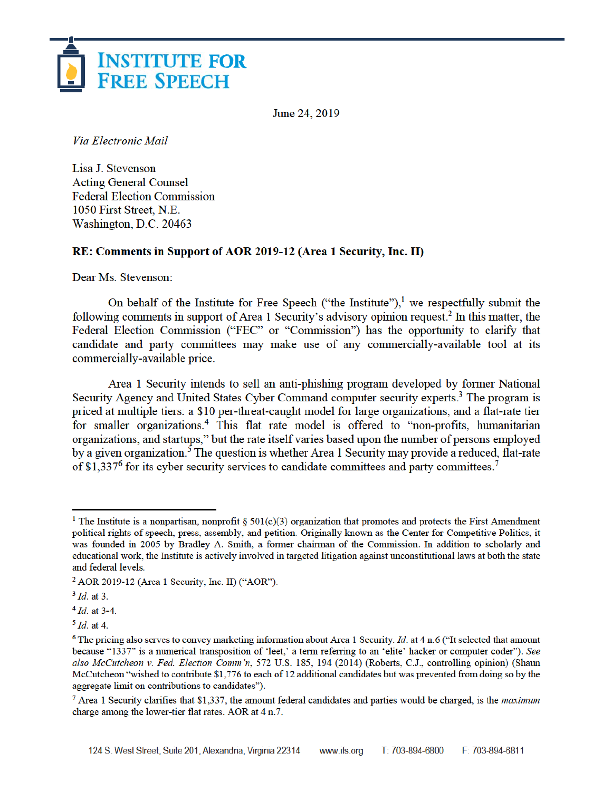

June 24, 2019

Via Electronic Mail

Lisa J. Stevenson **Acting General Counsel Federal Election Commission** 1050 First Street, N.E. Washington, D.C. 20463

## RE: Comments in Support of AOR 2019-12 (Area 1 Security, Inc. II)

Dear Ms. Stevenson:

On behalf of the Institute for Free Speech ("the Institute"),<sup>1</sup> we respectfully submit the following comments in support of Area 1 Security's advisory opinion request.<sup>2</sup> In this matter, the Federal Election Commission ("FEC" or "Commission") has the opportunity to clarify that candidate and party committees may make use of any commercially-available tool at its commercially-available price.

Area 1 Security intends to sell an anti-phishing program developed by former National Security Agency and United States Cyber Command computer security experts.<sup>3</sup> The program is priced at multiple tiers: a \$10 per-threat-caught model for large organizations, and a flat-rate tier for smaller organizations.<sup>4</sup> This flat rate model is offered to "non-profits, humanitarian organizations, and startups," but the rate itself varies based upon the number of persons employed by a given organization.<sup>5</sup> The question is whether Area 1 Security may provide a reduced, flat-rate of \$1,337<sup>6</sup> for its cyber security services to candidate committees and party committees.<sup>7</sup>

<sup>&</sup>lt;sup>1</sup> The Institute is a nonpartisan, nonprofit § 501(c)(3) organization that promotes and protects the First Amendment political rights of speech, press, assembly, and petition. Originally known as the Center for Competitive Politics, it was founded in 2005 by Bradley A. Smith, a former chairman of the Commission. In addition to scholarly and educational work, the Institute is actively involved in targeted litigation against unconstitutional laws at both the state and federal levels.

 $2$  AOR 2019-12 (Area 1 Security, Inc. II) ("AOR").

 $3$  *Id.* at 3.

 $4$  *Id.* at 3-4.

 $<sup>5</sup>$  *Id.* at 4.</sup>

 $6$  The pricing also serves to convey marketing information about Area 1 Security. *Id.* at 4 n.6 ("It selected that amount because "1337" is a numerical transposition of 'leet,' a term referring to an 'elite' hacker or computer coder"). See also McCutcheon v. Fed. Election Comm'n, 572 U.S. 185, 194 (2014) (Roberts, C.J., controlling opinion) (Shaun McCutcheon "wished to contribute \$1,776 to each of 12 additional candidates but was prevented from doing so by the aggregate limit on contributions to candidates").

 $7$  Area 1 Security clarifies that \$1,337, the amount federal candidates and parties would be charged, is the *maximum* charge among the lower-tier flat rates. AOR at 4 n.7.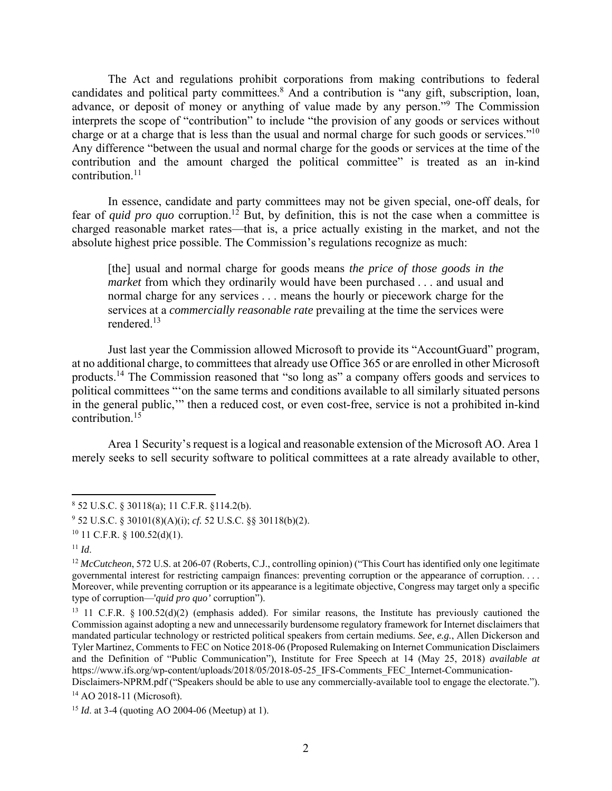The Act and regulations prohibit corporations from making contributions to federal candidates and political party committees.<sup>8</sup> And a contribution is "any gift, subscription, loan, advance, or deposit of money or anything of value made by any person."<sup>9</sup> The Commission interprets the scope of "contribution" to include "the provision of any goods or services without charge or at a charge that is less than the usual and normal charge for such goods or services."<sup>10</sup> Any difference "between the usual and normal charge for the goods or services at the time of the contribution and the amount charged the political committee" is treated as an in-kind contribution. $11$ 

In essence, candidate and party committees may not be given special, one-off deals, for fear of *quid pro quo* corruption.<sup>12</sup> But, by definition, this is not the case when a committee is charged reasonable market rates—that is, a price actually existing in the market, and not the absolute highest price possible. The Commission's regulations recognize as much:

[the] usual and normal charge for goods means *the price of those goods in the market* from which they ordinarily would have been purchased . . . and usual and normal charge for any services . . . means the hourly or piecework charge for the services at a *commercially reasonable rate* prevailing at the time the services were rendered.13

Just last year the Commission allowed Microsoft to provide its "AccountGuard" program, at no additional charge, to committees that already use Office 365 or are enrolled in other Microsoft products.14 The Commission reasoned that "so long as" a company offers goods and services to political committees "'on the same terms and conditions available to all similarly situated persons in the general public,'" then a reduced cost, or even cost-free, service is not a prohibited in-kind contribution.15

Area 1 Security's request is a logical and reasonable extension of the Microsoft AO. Area 1 merely seeks to sell security software to political committees at a rate already available to other,

<sup>8</sup> 52 U.S.C. § 30118(a); 11 C.F.R. §114.2(b).

<sup>9</sup> 52 U.S.C. § 30101(8)(A)(i); *cf.* 52 U.S.C. §§ 30118(b)(2).

 $10$  11 C.F.R. § 100.52(d)(1).

 $11$  *Id.* 

<sup>&</sup>lt;sup>12</sup> *McCutcheon*, 572 U.S. at 206-07 (Roberts, C.J., controlling opinion) ("This Court has identified only one legitimate governmental interest for restricting campaign finances: preventing corruption or the appearance of corruption. . . . Moreover, while preventing corruption or its appearance is a legitimate objective, Congress may target only a specific type of corruption—'*quid pro quo'* corruption").

<sup>&</sup>lt;sup>13</sup> 11 C.F.R. § 100.52(d)(2) (emphasis added). For similar reasons, the Institute has previously cautioned the Commission against adopting a new and unnecessarily burdensome regulatory framework for Internet disclaimers that mandated particular technology or restricted political speakers from certain mediums. *See*, *e.g.*, Allen Dickerson and Tyler Martinez, Comments to FEC on Notice 2018-06 (Proposed Rulemaking on Internet Communication Disclaimers and the Definition of "Public Communication"), Institute for Free Speech at 14 (May 25, 2018) *available at* https://www.ifs.org/wp-content/uploads/2018/05/2018-05-25\_IFS-Comments\_FEC\_Internet-Communication-

Disclaimers-NPRM.pdf ("Speakers should be able to use any commercially-available tool to engage the electorate."). <sup>14</sup> AO 2018-11 (Microsoft).

<sup>15</sup> *Id*. at 3-4 (quoting AO 2004-06 (Meetup) at 1).